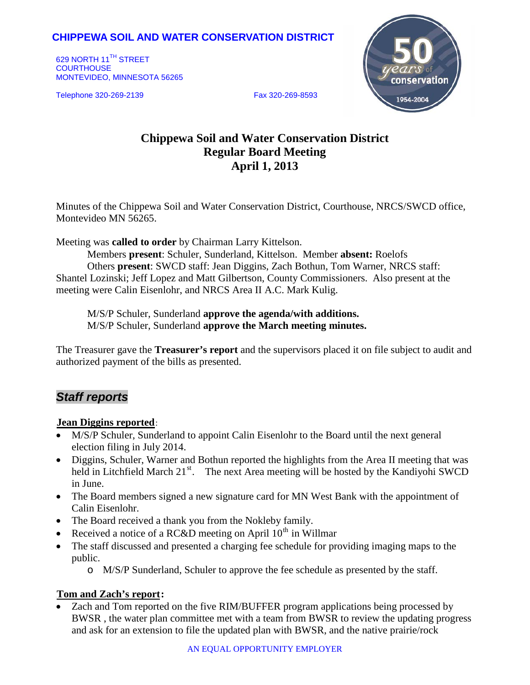## **CHIPPEWA SOIL AND WATER CONSERVATION DISTRICT**

629 NORTH 11<sup>TH</sup> STREET **COURTHOUSE** MONTEVIDEO, MINNESOTA 56265

Telephone 320-269-2139 Fax 320-269-8593



# **Chippewa Soil and Water Conservation District Regular Board Meeting April 1, 2013**

Minutes of the Chippewa Soil and Water Conservation District, Courthouse, NRCS/SWCD office, Montevideo MN 56265.

Meeting was **called to order** by Chairman Larry Kittelson.

Members **present**: Schuler, Sunderland, Kittelson. Member **absent:** Roelofs Others **present**: SWCD staff: Jean Diggins, Zach Bothun, Tom Warner, NRCS staff: Shantel Lozinski; Jeff Lopez and Matt Gilbertson, County Commissioners. Also present at the meeting were Calin Eisenlohr, and NRCS Area II A.C. Mark Kulig.

M/S/P Schuler, Sunderland **approve the agenda/with additions.** M/S/P Schuler, Sunderland **approve the March meeting minutes.**

The Treasurer gave the **Treasurer's report** and the supervisors placed it on file subject to audit and authorized payment of the bills as presented.

# *Staff reports*

#### **Jean Diggins reported:**

- M/S/P Schuler, Sunderland to appoint Calin Eisenlohr to the Board until the next general election filing in July 2014.
- Diggins, Schuler, Warner and Bothun reported the highlights from the Area II meeting that was held in Litchfield March 21<sup>st</sup>. The next Area meeting will be hosted by the Kandiyohi SWCD in June.
- The Board members signed a new signature card for MN West Bank with the appointment of Calin Eisenlohr.
- The Board received a thank you from the Nokleby family.
- Received a notice of a RC&D meeting on April  $10^{th}$  in Willmar
- The staff discussed and presented a charging fee schedule for providing imaging maps to the public.
	- o M/S/P Sunderland, Schuler to approve the fee schedule as presented by the staff.

## Tom and Zach's report:

• Zach and Tom reported on the five RIM/BUFFER program applications being processed by BWSR , the water plan committee met with a team from BWSR to review the updating progress and ask for an extension to file the updated plan with BWSR, and the native prairie/rock